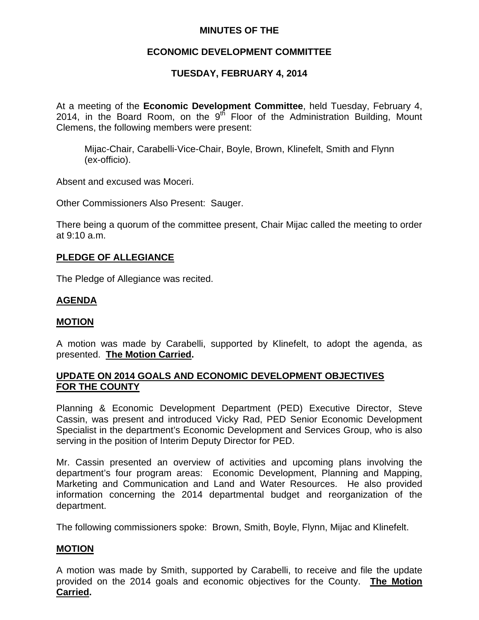# **MINUTES OF THE**

# **ECONOMIC DEVELOPMENT COMMITTEE**

# **TUESDAY, FEBRUARY 4, 2014**

At a meeting of the **Economic Development Committee**, held Tuesday, February 4, 2014, in the Board Room, on the  $9<sup>th</sup>$  Floor of the Administration Building, Mount Clemens, the following members were present:

Mijac-Chair, Carabelli-Vice-Chair, Boyle, Brown, Klinefelt, Smith and Flynn (ex-officio).

Absent and excused was Moceri.

Other Commissioners Also Present: Sauger.

There being a quorum of the committee present, Chair Mijac called the meeting to order at 9:10 a.m.

## **PLEDGE OF ALLEGIANCE**

The Pledge of Allegiance was recited.

# **AGENDA**

#### **MOTION**

A motion was made by Carabelli, supported by Klinefelt, to adopt the agenda, as presented. **The Motion Carried.** 

## **UPDATE ON 2014 GOALS AND ECONOMIC DEVELOPMENT OBJECTIVES FOR THE COUNTY**

Planning & Economic Development Department (PED) Executive Director, Steve Cassin, was present and introduced Vicky Rad, PED Senior Economic Development Specialist in the department's Economic Development and Services Group, who is also serving in the position of Interim Deputy Director for PED.

Mr. Cassin presented an overview of activities and upcoming plans involving the department's four program areas: Economic Development, Planning and Mapping, Marketing and Communication and Land and Water Resources. He also provided information concerning the 2014 departmental budget and reorganization of the department.

The following commissioners spoke: Brown, Smith, Boyle, Flynn, Mijac and Klinefelt.

#### **MOTION**

A motion was made by Smith, supported by Carabelli, to receive and file the update provided on the 2014 goals and economic objectives for the County. **The Motion Carried.**